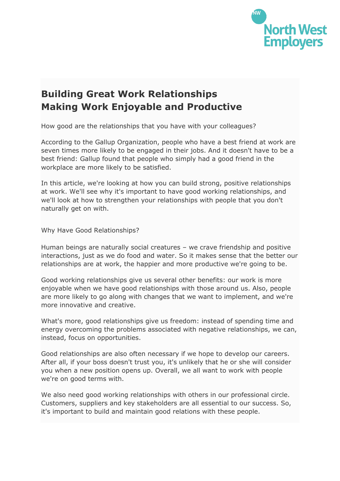

## **Building Great Work Relationships Making Work Enjoyable and Productive**

How good are the relationships that you have with your colleagues?

According to the Gallup Organization, people who have a best friend at work are seven times more likely to be engaged in their jobs. And it doesn't have to be a best friend: Gallup found that people who simply had a good friend in the workplace are more likely to be satisfied.

In this article, we're looking at how you can build strong, positive relationships at work. We'll see why it's important to have good working relationships, and we'll look at how to strengthen your relationships with people that you don't naturally get on with.

Why Have Good Relationships?

Human beings are naturally social creatures – we crave friendship and positive interactions, just as we do food and water. So it makes sense that the better our relationships are at work, the happier and more productive we're going to be.

Good working relationships give us several other benefits: our work is more enjoyable when we have good relationships with those around us. Also, people are more likely to go along with changes that we want to implement, and we're more innovative and creative.

What's more, good relationships give us freedom: instead of spending time and energy overcoming the problems associated with negative relationships, we can, instead, focus on opportunities.

Good relationships are also often necessary if we hope to develop our careers. After all, if your boss doesn't trust you, it's unlikely that he or she will consider you when a new position opens up. Overall, we all want to work with people we're on good terms with.

We also need good working relationships with others in our professional circle. Customers, suppliers and key stakeholders are all essential to our success. So, it's important to build and maintain good relations with these people.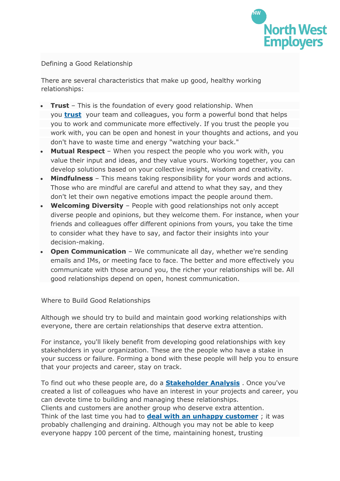

## Defining a Good Relationship

There are several characteristics that make up good, healthy working relationships:

- **Trust** This is the foundation of every good relationship. When you **[trust](https://www.mindtools.com/pages/article/newLDR_46.htm)** your team and colleagues, you form a powerful bond that helps you to work and communicate more effectively. If you trust the people you work with, you can be open and honest in your thoughts and actions, and you don't have to waste time and energy "watching your back."
- **Mutual Respect** When you respect the people who you work with, you value their input and ideas, and they value yours. Working together, you can develop solutions based on your collective insight, wisdom and creativity.
- **Mindfulness** This means taking responsibility for your words and actions. Those who are mindful are careful and attend to what they say, and they don't let their own negative emotions impact the people around them.
- **Welcoming Diversity** People with good relationships not only accept diverse people and opinions, but they welcome them. For instance, when your friends and colleagues offer different opinions from yours, you take the time to consider what they have to say, and factor their insights into your decision-making.
- **Open Communication** We communicate all day, whether we're sending emails and IMs, or meeting face to face. The better and more effectively you communicate with those around you, the richer your relationships will be. All good relationships depend on open, honest communication.

Where to Build Good Relationships

Although we should try to build and maintain good working relationships with everyone, there are certain relationships that deserve extra attention.

For instance, you'll likely benefit from developing good relationships with key stakeholders in your organization. These are the people who have a stake in your success or failure. Forming a bond with these people will help you to ensure that your projects and career, stay on track.

To find out who these people are, do a **[Stakeholder](https://www.mindtools.com/pages/article/newPPM_07.htm) Analysis** . Once you've created a list of colleagues who have an interest in your projects and career, you can devote time to building and managing these relationships. Clients and customers are another group who deserve extra attention. Think of the last time you had to **deal with an unhappy [customer](https://www.mindtools.com/pages/article/unhappy-customers.htm)** ; it was probably challenging and draining. Although you may not be able to keep everyone happy 100 percent of the time, maintaining honest, trusting